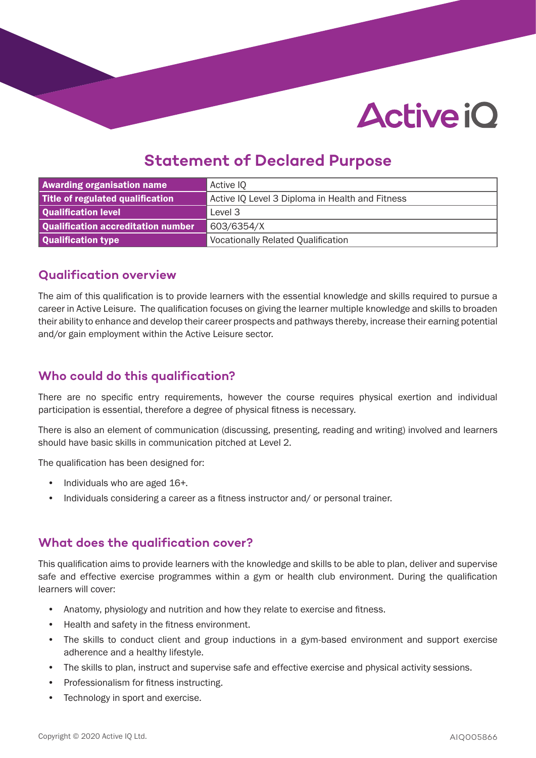# **Active iO**

## **Statement of Declared Purpose**

| <b>Awarding organisation name</b>  | Active IQ                                       |  |
|------------------------------------|-------------------------------------------------|--|
| Title of regulated qualification   | Active IQ Level 3 Diploma in Health and Fitness |  |
| Qualification level                | Level 3                                         |  |
| Qualification accreditation number | 603/6354/X                                      |  |
| Qualification type                 | <b>Vocationally Related Qualification</b>       |  |

### **Qualification overview**

The aim of this qualification is to provide learners with the essential knowledge and skills required to pursue a career in Active Leisure. The qualification focuses on giving the learner multiple knowledge and skills to broaden their ability to enhance and develop their career prospects and pathways thereby, increase their earning potential and/or gain employment within the Active Leisure sector.

## **Who could do this qualification?**

There are no specific entry requirements, however the course requires physical exertion and individual participation is essential, therefore a degree of physical fitness is necessary.

There is also an element of communication (discussing, presenting, reading and writing) involved and learners should have basic skills in communication pitched at Level 2.

The qualification has been designed for:

- Individuals who are aged 16+.
- Individuals considering a career as a fitness instructor and/ or personal trainer.

## **What does the qualification cover?**

This qualification aims to provide learners with the knowledge and skills to be able to plan, deliver and supervise safe and effective exercise programmes within a gym or health club environment. During the qualification learners will cover:

- Anatomy, physiology and nutrition and how they relate to exercise and fitness.
- Health and safety in the fitness environment.
- The skills to conduct client and group inductions in a gym-based environment and support exercise adherence and a healthy lifestyle.
- The skills to plan, instruct and supervise safe and effective exercise and physical activity sessions.
- Professionalism for fitness instructing.
- Technology in sport and exercise.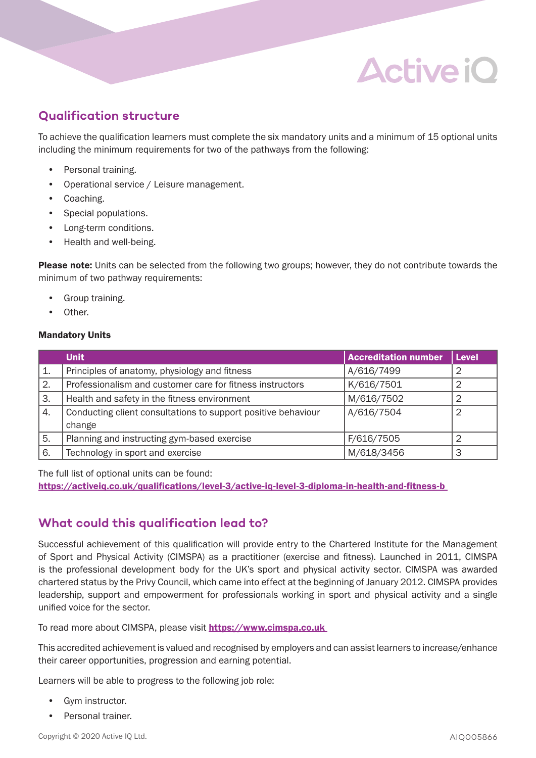## **Active iO**

## **Qualification structure**

To achieve the qualification learners must complete the six mandatory units and a minimum of 15 optional units including the minimum requirements for two of the pathways from the following:

- Personal training.
- Operational service / Leisure management.
- Coaching.
- Special populations.
- Long-term conditions.
- Health and well-being.

**Please note:** Units can be selected from the following two groups; however, they do not contribute towards the minimum of two pathway requirements:

- Group training.
- Other.

#### Mandatory Units

|    | <b>Unit</b>                                                   | <b>Accreditation number</b> | Level          |
|----|---------------------------------------------------------------|-----------------------------|----------------|
| 1. | Principles of anatomy, physiology and fitness                 | A/616/7499                  | $\overline{2}$ |
| 2. | Professionalism and customer care for fitness instructors     | K/616/7501                  | 2              |
| 3. | Health and safety in the fitness environment                  | M/616/7502                  | 2              |
| 4. | Conducting client consultations to support positive behaviour | A/616/7504                  | $\overline{2}$ |
|    | change                                                        |                             |                |
| 5. | Planning and instructing gym-based exercise                   | F/616/7505                  | $\overline{2}$ |
| 6. | Technology in sport and exercise                              | M/618/3456                  | 3              |

The full list of optional units can be found:

https://activeiq.co.uk/qualifications/level-3/active-iq-level-3-diploma-in-health-and-fitness-b

## **What could this qualification lead to?**

Successful achievement of this qualification will provide entry to the Chartered Institute for the Management of Sport and Physical Activity (CIMSPA) as a practitioner (exercise and fitness). Launched in 2011, CIMSPA is the professional development body for the UK's sport and physical activity sector. CIMSPA was awarded chartered status by the Privy Council, which came into effect at the beginning of January 2012. CIMSPA provides leadership, support and empowerment for professionals working in sport and physical activity and a single unified voice for the sector.

To read more about CIMSPA, please visit https://www.cimspa.co.uk

This accredited achievement is valued and recognised by employers and can assist learners to increase/enhance their career opportunities, progression and earning potential.

Learners will be able to progress to the following job role:

- Gym instructor.
- Personal trainer.